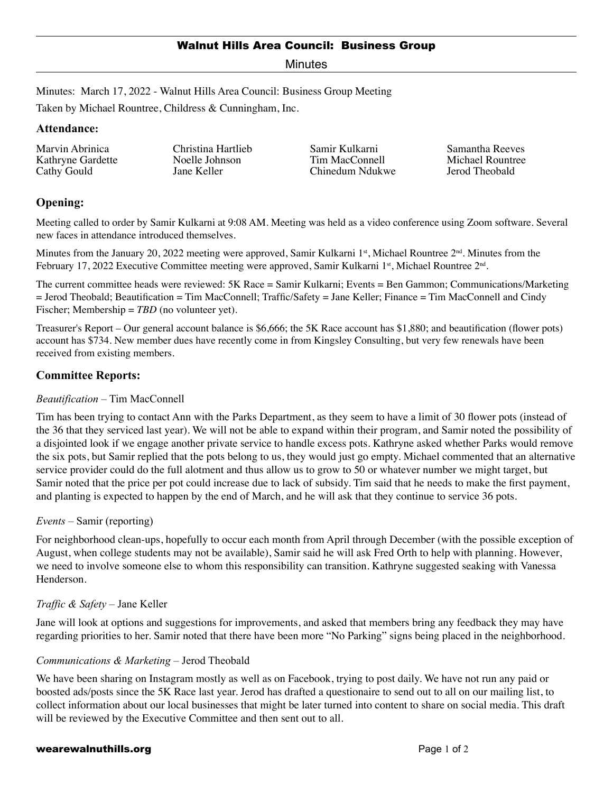Minutes

Minutes: March 17, 2022 - Walnut Hills Area Council: Business Group Meeting

Taken by Michael Rountree, Childress & Cunningham, Inc.

### **Attendance:**

Marvin Abrinica Kathryne Gardette Cathy Gould

Christina Hartlieb Noelle Johnson Jane Keller

Samir Kulkarni Tim MacConnell Chinedum Ndukwe

Samantha Reeves Michael Rountree Jerod Theobald

# **Opening:**

Meeting called to order by Samir Kulkarni at 9:08 AM. Meeting was held as a video conference using Zoom software. Several new faces in attendance introduced themselves.

Minutes from the January 20, 2022 meeting were approved, Samir Kulkarni 1<sup>st</sup>, Michael Rountree 2<sup>nd</sup>. Minutes from the February 17, 2022 Executive Committee meeting were approved, Samir Kulkarni 1<sup>st</sup>, Michael Rountree 2<sup>nd</sup>.

The current committee heads were reviewed: 5K Race = Samir Kulkarni; Events = Ben Gammon; Communications/Marketing = Jerod Theobald; Beautification = Tim MacConnell; Traffic/Safety = Jane Keller; Finance = Tim MacConnell and Cindy Fischer; Membership = *TBD* (no volunteer yet).

Treasurer's Report – Our general account balance is \$6,666; the 5K Race account has \$1,880; and beautification (flower pots) account has \$734. New member dues have recently come in from Kingsley Consulting, but very few renewals have been received from existing members.

## **Committee Reports:**

### *Beautification* – Tim MacConnell

Tim has been trying to contact Ann with the Parks Department, as they seem to have a limit of 30 flower pots (instead of the 36 that they serviced last year). We will not be able to expand within their program, and Samir noted the possibility of a disjointed look if we engage another private service to handle excess pots. Kathryne asked whether Parks would remove the six pots, but Samir replied that the pots belong to us, they would just go empty. Michael commented that an alternative service provider could do the full alotment and thus allow us to grow to 50 or whatever number we might target, but Samir noted that the price per pot could increase due to lack of subsidy. Tim said that he needs to make the first payment, and planting is expected to happen by the end of March, and he will ask that they continue to service 36 pots.

#### *Events* – Samir (reporting)

For neighborhood clean-ups, hopefully to occur each month from April through December (with the possible exception of August, when college students may not be available), Samir said he will ask Fred Orth to help with planning. However, we need to involve someone else to whom this responsibility can transition. Kathryne suggested seaking with Vanessa Henderson.

## *Traffic & Safety* – Jane Keller

Jane will look at options and suggestions for improvements, and asked that members bring any feedback they may have regarding priorities to her. Samir noted that there have been more "No Parking" signs being placed in the neighborhood.

#### *Communications & Marketing* – Jerod Theobald

We have been sharing on Instagram mostly as well as on Facebook, trying to post daily. We have not run any paid or boosted ads/posts since the 5K Race last year. Jerod has drafted a questionaire to send out to all on our mailing list, to collect information about our local businesses that might be later turned into content to share on social media. This draft will be reviewed by the Executive Committee and then sent out to all.

#### **wearewalnuthills.org Page 1 of 2** and 2 and 2 and 2 and 2 and 2 and 2 and 2 and 2 and 2 and 2 and 2 and 2 and 2 and 2 and 2 and 2 and 2 and 2 and 2 and 2 and 2 and 2 and 2 and 2 and 2 and 2 and 2 and 2 and 2 and 2 and 2